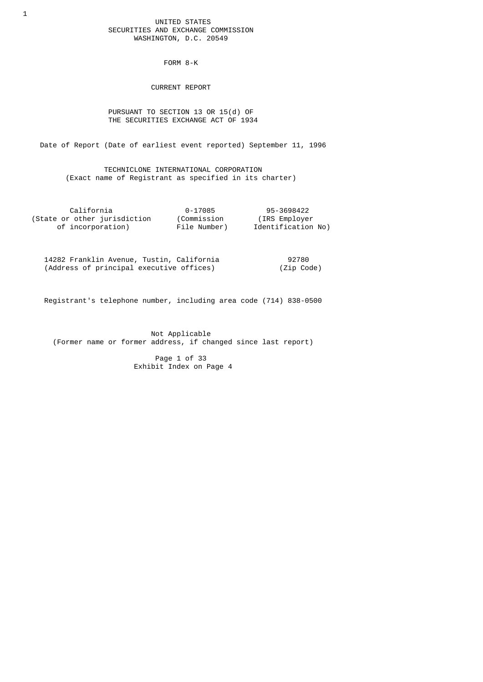### UNITED STATES SECURITIES AND EXCHANGE COMMISSION WASHINGTON, D.C. 20549

FORM 8-K

CURRENT REPORT

 PURSUANT TO SECTION 13 OR 15(d) OF THE SECURITIES EXCHANGE ACT OF 1934

Date of Report (Date of earliest event reported) September 11, 1996

 TECHNICLONE INTERNATIONAL CORPORATION (Exact name of Registrant as specified in its charter)

| California                   | 0-17085      | 95-3698422         |
|------------------------------|--------------|--------------------|
| (State or other jurisdiction | (Commission  | (IRS Employer)     |
| of incorporation)            | File Number) | Identification No) |

 14282 Franklin Avenue, Tustin, California 92780 (Address of principal executive offices) (Zip Code)

Registrant's telephone number, including area code (714) 838-0500

 Not Applicable (Former name or former address, if changed since last report)

> Page 1 of 33 Exhibit Index on Page 4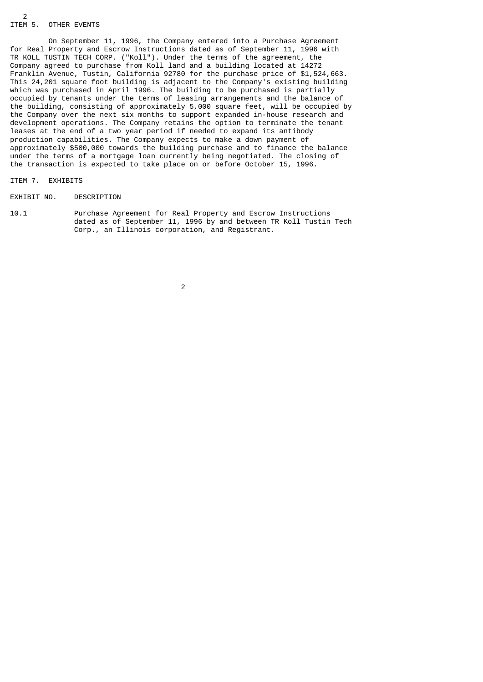# ITEM 5. OTHER EVENTS

 $\mathfrak{p}$ 

 On September 11, 1996, the Company entered into a Purchase Agreement for Real Property and Escrow Instructions dated as of September 11, 1996 with TR KOLL TUSTIN TECH CORP. ("Koll"). Under the terms of the agreement, the Company agreed to purchase from Koll land and a building located at 14272 Franklin Avenue, Tustin, California 92780 for the purchase price of \$1,524,663. This 24,201 square foot building is adjacent to the Company's existing building which was purchased in April 1996. The building to be purchased is partially occupied by tenants under the terms of leasing arrangements and the balance of the building, consisting of approximately 5,000 square feet, will be occupied by the Company over the next six months to support expanded in-house research and development operations. The Company retains the option to terminate the tenant leases at the end of a two year period if needed to expand its antibody production capabilities. The Company expects to make a down payment of approximately \$500,000 towards the building purchase and to finance the balance under the terms of a mortgage loan currently being negotiated. The closing of the transaction is expected to take place on or before October 15, 1996.

### ITEM 7. EXHIBITS

#### EXHIBIT NO. DESCRIPTION

10.1 Purchase Agreement for Real Property and Escrow Instructions dated as of September 11, 1996 by and between TR Koll Tustin Tech Corp., an Illinois corporation, and Registrant.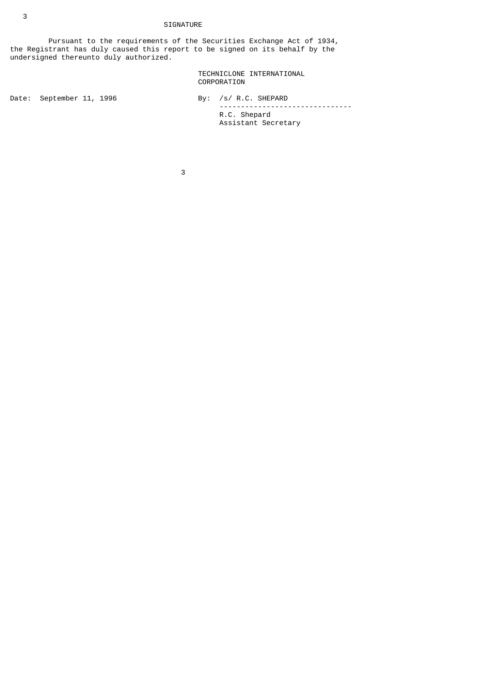# SIGNATURE

 Pursuant to the requirements of the Securities Exchange Act of 1934, the Registrant has duly caused this report to be signed on its behalf by the undersigned thereunto duly authorized.

> TECHNICLONE INTERNATIONAL CORPORATION

Date: September 11, 1996 By: /s/ R.C. SHEPARD ------------------------------- R.C. Shepard Assistant Secretary

 $\sim$  3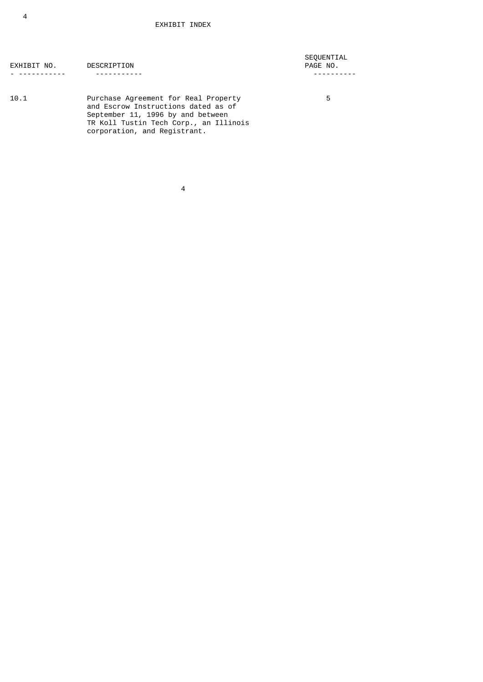| EXHIBIT NO. | DESCRIPTION |
|-------------|-------------|
| -------     |             |

 SEQUENTIAL PAGE NO. - ----------- ----------- ----------

 $10.1$ 10.1 Purchase Agreement for Real Property 5 and Escrow Instructions dated as of September 11, 1996 by and between TR Koll Tustin Tech Corp., an Illinois corporation, and Registrant.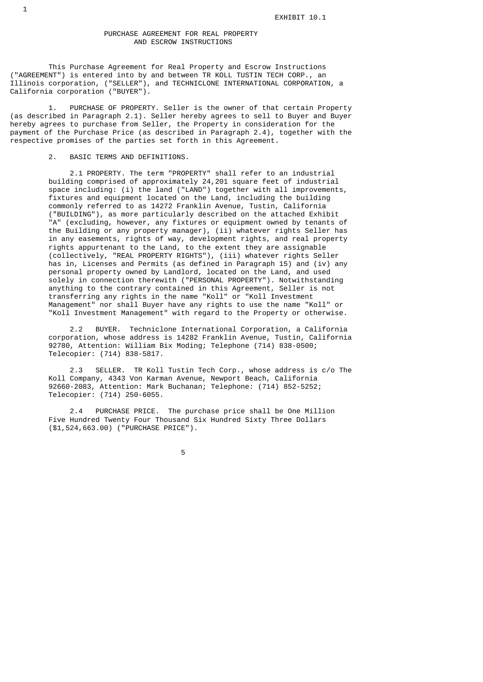### PURCHASE AGREEMENT FOR REAL PROPERTY AND ESCROW INSTRUCTIONS

 This Purchase Agreement for Real Property and Escrow Instructions ("AGREEMENT") is entered into by and between TR KOLL TUSTIN TECH CORP., an Illinois corporation, ("SELLER"), and TECHNICLONE INTERNATIONAL CORPORATION, a California corporation ("BUYER").

 1. PURCHASE OF PROPERTY. Seller is the owner of that certain Property (as described in Paragraph 2.1). Seller hereby agrees to sell to Buyer and Buyer hereby agrees to purchase from Seller, the Property in consideration for the payment of the Purchase Price (as described in Paragraph 2.4), together with the respective promises of the parties set forth in this Agreement.

2. BASIC TERMS AND DEFINITIONS.

 2.1 PROPERTY. The term "PROPERTY" shall refer to an industrial building comprised of approximately 24,201 square feet of industrial space including: (i) the land ("LAND") together with all improvements, fixtures and equipment located on the Land, including the building commonly referred to as 14272 Franklin Avenue, Tustin, California ("BUILDING"), as more particularly described on the attached Exhibit "A" (excluding, however, any fixtures or equipment owned by tenants of the Building or any property manager), (ii) whatever rights Seller has in any easements, rights of way, development rights, and real property rights appurtenant to the Land, to the extent they are assignable (collectively, "REAL PROPERTY RIGHTS"), (iii) whatever rights Seller has in, Licenses and Permits (as defined in Paragraph 15) and (iv) any personal property owned by Landlord, located on the Land, and used solely in connection therewith ("PERSONAL PROPERTY"). Notwithstanding anything to the contrary contained in this Agreement, Seller is not transferring any rights in the name "Koll" or "Koll Investment Management" nor shall Buyer have any rights to use the name "Koll" or "Koll Investment Management" with regard to the Property or otherwise.

> 2.2 BUYER. Techniclone International Corporation, a California corporation, whose address is 14282 Franklin Avenue, Tustin, California 92780, Attention: William Bix Moding; Telephone (714) 838-0500; Telecopier: (714) 838-5817.

 2.3 SELLER. TR Koll Tustin Tech Corp., whose address is c/o The Koll Company, 4343 Von Karman Avenue, Newport Beach, California 92660-2083, Attention: Mark Buchanan; Telephone: (714) 852-5252; Telecopier: (714) 250-6055.

> 2.4 PURCHASE PRICE. The purchase price shall be One Million Five Hundred Twenty Four Thousand Six Hundred Sixty Three Dollars (\$1,524,663.00) ("PURCHASE PRICE").

the contract of the contract of the contract of the contract of the contract of the contract of the contract o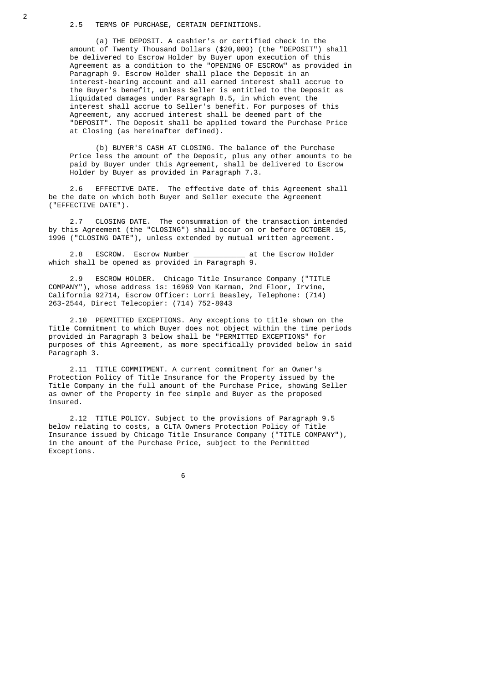(a) THE DEPOSIT. A cashier's or certified check in the amount of Twenty Thousand Dollars (\$20,000) (the "DEPOSIT") shall be delivered to Escrow Holder by Buyer upon execution of this Agreement as a condition to the "OPENING OF ESCROW" as provided in Paragraph 9. Escrow Holder shall place the Deposit in an interest-bearing account and all earned interest shall accrue to the Buyer's benefit, unless Seller is entitled to the Deposit as liquidated damages under Paragraph 8.5, in which event the interest shall accrue to Seller's benefit. For purposes of this Agreement, any accrued interest shall be deemed part of the "DEPOSIT". The Deposit shall be applied toward the Purchase Price at Closing (as hereinafter defined).

 (b) BUYER'S CASH AT CLOSING. The balance of the Purchase Price less the amount of the Deposit, plus any other amounts to be paid by Buyer under this Agreement, shall be delivered to Escrow Holder by Buyer as provided in Paragraph 7.3.

 2.6 EFFECTIVE DATE. The effective date of this Agreement shall be the date on which both Buyer and Seller execute the Agreement ("EFFECTIVE DATE").

 2.7 CLOSING DATE. The consummation of the transaction intended by this Agreement (the "CLOSING") shall occur on or before OCTOBER 15, 1996 ("CLOSING DATE"), unless extended by mutual written agreement.

2.8 ESCROW. Escrow Number **at the Escrow Holder** which shall be opened as provided in Paragraph 9.

 2.9 ESCROW HOLDER. Chicago Title Insurance Company ("TITLE COMPANY"), whose address is: 16969 Von Karman, 2nd Floor, Irvine, California 92714, Escrow Officer: Lorri Beasley, Telephone: (714) 263-2544, Direct Telecopier: (714) 752-8043

 2.10 PERMITTED EXCEPTIONS. Any exceptions to title shown on the Title Commitment to which Buyer does not object within the time periods provided in Paragraph 3 below shall be "PERMITTED EXCEPTIONS" for purposes of this Agreement, as more specifically provided below in said Paragraph 3.

 2.11 TITLE COMMITMENT. A current commitment for an Owner's Protection Policy of Title Insurance for the Property issued by the Title Company in the full amount of the Purchase Price, showing Seller as owner of the Property in fee simple and Buyer as the proposed insured.

 2.12 TITLE POLICY. Subject to the provisions of Paragraph 9.5 below relating to costs, a CLTA Owners Protection Policy of Title Insurance issued by Chicago Title Insurance Company ("TITLE COMPANY"), in the amount of the Purchase Price, subject to the Permitted Exceptions.

 $\sim$  6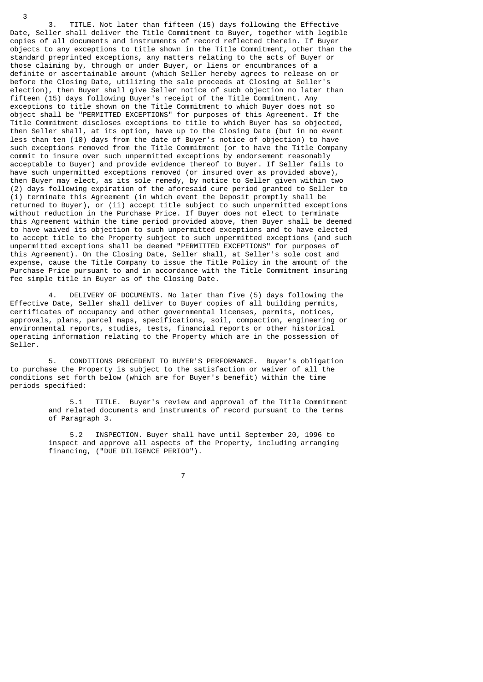3. TITLE. Not later than fifteen (15) days following the Effective Date, Seller shall deliver the Title Commitment to Buyer, together with legible copies of all documents and instruments of record reflected therein. If Buyer objects to any exceptions to title shown in the Title Commitment, other than the standard preprinted exceptions, any matters relating to the acts of Buyer or those claiming by, through or under Buyer, or liens or encumbrances of a definite or ascertainable amount (which Seller hereby agrees to release on or before the Closing Date, utilizing the sale proceeds at Closing at Seller's election), then Buyer shall give Seller notice of such objection no later than fifteen (15) days following Buyer's receipt of the Title Commitment. Any exceptions to title shown on the Title Commitment to which Buyer does not so object shall be "PERMITTED EXCEPTIONS" for purposes of this Agreement. If the Title Commitment discloses exceptions to title to which Buyer has so objected, then Seller shall, at its option, have up to the Closing Date (but in no event less than ten (10) days from the date of Buyer's notice of objection) to have such exceptions removed from the Title Commitment (or to have the Title Company commit to insure over such unpermitted exceptions by endorsement reasonably acceptable to Buyer) and provide evidence thereof to Buyer. If Seller fails to have such unpermitted exceptions removed (or insured over as provided above), then Buyer may elect, as its sole remedy, by notice to Seller given within two (2) days following expiration of the aforesaid cure period granted to Seller to (i) terminate this Agreement (in which event the Deposit promptly shall be returned to Buyer), or (ii) accept title subject to such unpermitted exceptions without reduction in the Purchase Price. If Buyer does not elect to terminate this Agreement within the time period provided above, then Buyer shall be deemed to have waived its objection to such unpermitted exceptions and to have elected to accept title to the Property subject to such unpermitted exceptions (and such unpermitted exceptions shall be deemed "PERMITTED EXCEPTIONS" for purposes of this Agreement). On the Closing Date, Seller shall, at Seller's sole cost and expense, cause the Title Company to issue the Title Policy in the amount of the Purchase Price pursuant to and in accordance with the Title Commitment insuring fee simple title in Buyer as of the Closing Date.

3

 4. DELIVERY OF DOCUMENTS. No later than five (5) days following the Effective Date, Seller shall deliver to Buyer copies of all building permits, certificates of occupancy and other governmental licenses, permits, notices, approvals, plans, parcel maps, specifications, soil, compaction, engineering or environmental reports, studies, tests, financial reports or other historical operating information relating to the Property which are in the possession of Seller.

 5. CONDITIONS PRECEDENT TO BUYER'S PERFORMANCE. Buyer's obligation to purchase the Property is subject to the satisfaction or waiver of all the conditions set forth below (which are for Buyer's benefit) within the time periods specified:

> 5.1 TITLE. Buyer's review and approval of the Title Commitment and related documents and instruments of record pursuant to the terms of Paragraph 3.

 5.2 INSPECTION. Buyer shall have until September 20, 1996 to inspect and approve all aspects of the Property, including arranging financing, ("DUE DILIGENCE PERIOD").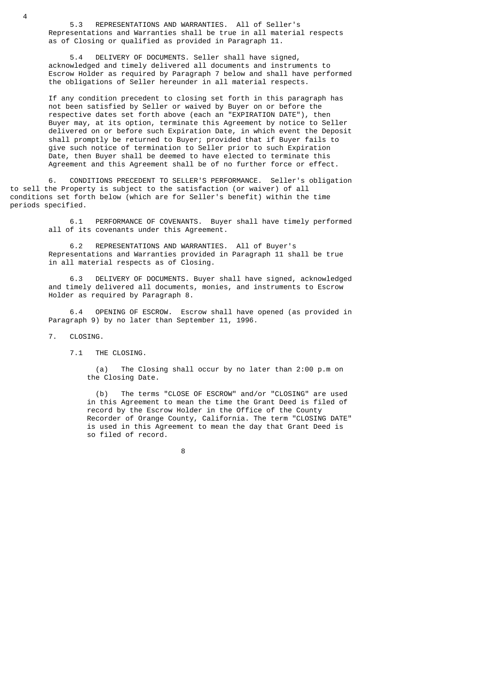5.3 REPRESENTATIONS AND WARRANTIES. All of Seller's Representations and Warranties shall be true in all material respects as of Closing or qualified as provided in Paragraph 11.

 5.4 DELIVERY OF DOCUMENTS. Seller shall have signed, acknowledged and timely delivered all documents and instruments to Escrow Holder as required by Paragraph 7 below and shall have performed the obligations of Seller hereunder in all material respects.

 If any condition precedent to closing set forth in this paragraph has not been satisfied by Seller or waived by Buyer on or before the respective dates set forth above (each an "EXPIRATION DATE"), then Buyer may, at its option, terminate this Agreement by notice to Seller delivered on or before such Expiration Date, in which event the Deposit shall promptly be returned to Buyer; provided that if Buyer fails to give such notice of termination to Seller prior to such Expiration Date, then Buyer shall be deemed to have elected to terminate this Agreement and this Agreement shall be of no further force or effect.

 6. CONDITIONS PRECEDENT TO SELLER'S PERFORMANCE. Seller's obligation to sell the Property is subject to the satisfaction (or waiver) of all conditions set forth below (which are for Seller's benefit) within the time periods specified.

> 6.1 PERFORMANCE OF COVENANTS. Buyer shall have timely performed all of its covenants under this Agreement.

 6.2 REPRESENTATIONS AND WARRANTIES. All of Buyer's Representations and Warranties provided in Paragraph 11 shall be true in all material respects as of Closing.

 6.3 DELIVERY OF DOCUMENTS. Buyer shall have signed, acknowledged and timely delivered all documents, monies, and instruments to Escrow Holder as required by Paragraph 8.

 6.4 OPENING OF ESCROW. Escrow shall have opened (as provided in Paragraph 9) by no later than September 11, 1996.

7. CLOSING.

 $\overline{A}$ 

7.1 THE CLOSING.

 (a) The Closing shall occur by no later than 2:00 p.m on the Closing Date.

 (b) The terms "CLOSE OF ESCROW" and/or "CLOSING" are used in this Agreement to mean the time the Grant Deed is filed of record by the Escrow Holder in the Office of the County Recorder of Orange County, California. The term "CLOSING DATE" is used in this Agreement to mean the day that Grant Deed is so filed of record.

en andere andere andere andere andere andere andere andere andere andere andere andere andere andere andere a<br>Bestehende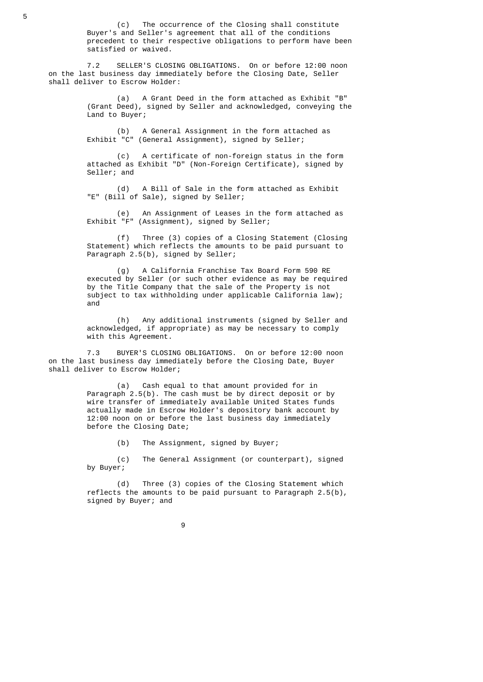(c) The occurrence of the Closing shall constitute Buyer's and Seller's agreement that all of the conditions precedent to their respective obligations to perform have been satisfied or waived.

 7.2 SELLER'S CLOSING OBLIGATIONS. On or before 12:00 noon on the last business day immediately before the Closing Date, Seller shall deliver to Escrow Holder:

> (a) A Grant Deed in the form attached as Exhibit "B" (Grant Deed), signed by Seller and acknowledged, conveying the Land to Buyer;

 (b) A General Assignment in the form attached as Exhibit "C" (General Assignment), signed by Seller;

 (c) A certificate of non-foreign status in the form attached as Exhibit "D" (Non-Foreign Certificate), signed by Seller; and

 (d) A Bill of Sale in the form attached as Exhibit "E" (Bill of Sale), signed by Seller;

 (e) An Assignment of Leases in the form attached as Exhibit "F" (Assignment), signed by Seller;

 (f) Three (3) copies of a Closing Statement (Closing Statement) which reflects the amounts to be paid pursuant to Paragraph 2.5(b), signed by Seller;

 (g) A California Franchise Tax Board Form 590 RE executed by Seller (or such other evidence as may be required by the Title Company that the sale of the Property is not subject to tax withholding under applicable California law); and

 (h) Any additional instruments (signed by Seller and acknowledged, if appropriate) as may be necessary to comply with this Agreement.

 7.3 BUYER'S CLOSING OBLIGATIONS. On or before 12:00 noon on the last business day immediately before the Closing Date, Buyer shall deliver to Escrow Holder;

> (a) Cash equal to that amount provided for in Paragraph  $2.5(b)$ . The cash must be by direct deposit or by wire transfer of immediately available United States funds actually made in Escrow Holder's depository bank account by 12:00 noon on or before the last business day immediately before the Closing Date;

> > (b) The Assignment, signed by Buyer;

 (c) The General Assignment (or counterpart), signed by Buyer;

 (d) Three (3) copies of the Closing Statement which reflects the amounts to be paid pursuant to Paragraph 2.5(b), signed by Buyer; and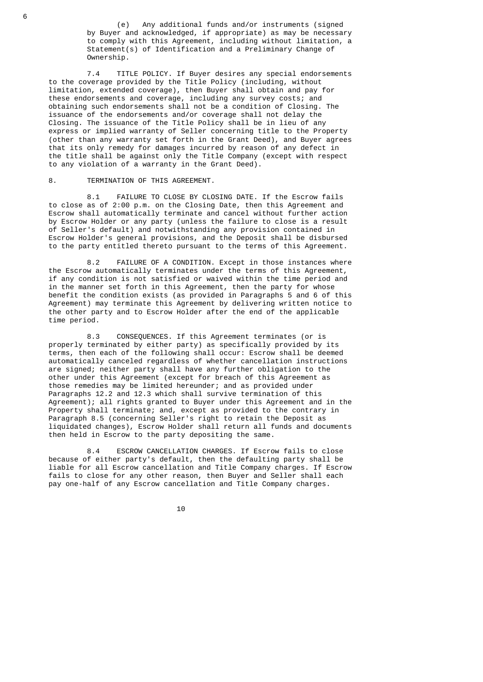(e) Any additional funds and/or instruments (signed by Buyer and acknowledged, if appropriate) as may be necessary to comply with this Agreement, including without limitation, a Statement(s) of Identification and a Preliminary Change of Ownership.

 7.4 TITLE POLICY. If Buyer desires any special endorsements to the coverage provided by the Title Policy (including, without limitation, extended coverage), then Buyer shall obtain and pay for these endorsements and coverage, including any survey costs; and obtaining such endorsements shall not be a condition of Closing. The issuance of the endorsements and/or coverage shall not delay the Closing. The issuance of the Title Policy shall be in lieu of any express or implied warranty of Seller concerning title to the Property (other than any warranty set forth in the Grant Deed), and Buyer agrees that its only remedy for damages incurred by reason of any defect in the title shall be against only the Title Company (except with respect to any violation of a warranty in the Grant Deed).

### 8. TERMINATION OF THIS AGREEMENT.

 8.1 FAILURE TO CLOSE BY CLOSING DATE. If the Escrow fails to close as of 2:00 p.m. on the Closing Date, then this Agreement and Escrow shall automatically terminate and cancel without further action by Escrow Holder or any party (unless the failure to close is a result of Seller's default) and notwithstanding any provision contained in Escrow Holder's general provisions, and the Deposit shall be disbursed to the party entitled thereto pursuant to the terms of this Agreement.

 8.2 FAILURE OF A CONDITION. Except in those instances where the Escrow automatically terminates under the terms of this Agreement, if any condition is not satisfied or waived within the time period and in the manner set forth in this Agreement, then the party for whose benefit the condition exists (as provided in Paragraphs 5 and 6 of this Agreement) may terminate this Agreement by delivering written notice to the other party and to Escrow Holder after the end of the applicable time period.

> 8.3 CONSEQUENCES. If this Agreement terminates (or is properly terminated by either party) as specifically provided by its terms, then each of the following shall occur: Escrow shall be deemed automatically canceled regardless of whether cancellation instructions are signed; neither party shall have any further obligation to the other under this Agreement (except for breach of this Agreement as those remedies may be limited hereunder; and as provided under Paragraphs 12.2 and 12.3 which shall survive termination of this Agreement); all rights granted to Buyer under this Agreement and in the Property shall terminate; and, except as provided to the contrary in Paragraph 8.5 (concerning Seller's right to retain the Deposit as liquidated changes), Escrow Holder shall return all funds and documents then held in Escrow to the party depositing the same.

> 8.4 ESCROW CANCELLATION CHARGES. If Escrow fails to close because of either party's default, then the defaulting party shall be liable for all Escrow cancellation and Title Company charges. If Escrow fails to close for any other reason, then Buyer and Seller shall each pay one-half of any Escrow cancellation and Title Company charges.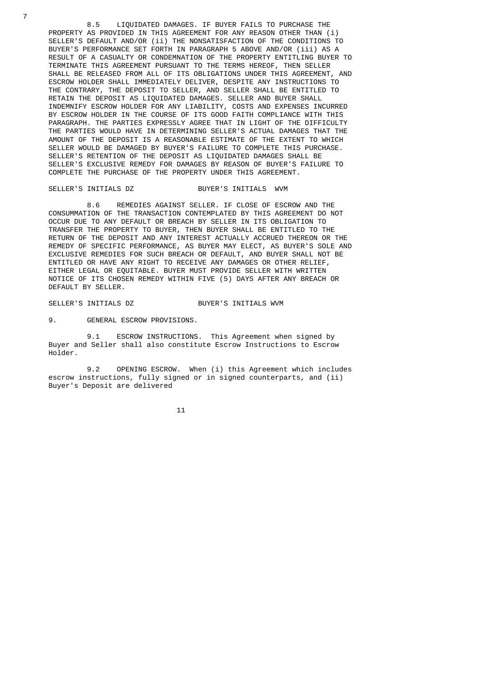8.5 LIQUIDATED DAMAGES. IF BUYER FAILS TO PURCHASE THE PROPERTY AS PROVIDED IN THIS AGREEMENT FOR ANY REASON OTHER THAN (i) SELLER'S DEFAULT AND/OR (ii) THE NONSATISFACTION OF THE CONDITIONS TO BUYER'S PERFORMANCE SET FORTH IN PARAGRAPH 5 ABOVE AND/OR (iii) AS A RESULT OF A CASUALTY OR CONDEMNATION OF THE PROPERTY ENTITLING BUYER TO TERMINATE THIS AGREEMENT PURSUANT TO THE TERMS HEREOF, THEN SELLER SHALL BE RELEASED FROM ALL OF ITS OBLIGATIONS UNDER THIS AGREEMENT, AND ESCROW HOLDER SHALL IMMEDIATELY DELIVER, DESPITE ANY INSTRUCTIONS TO THE CONTRARY, THE DEPOSIT TO SELLER, AND SELLER SHALL BE ENTITLED TO RETAIN THE DEPOSIT AS LIQUIDATED DAMAGES. SELLER AND BUYER SHALL INDEMNIFY ESCROW HOLDER FOR ANY LIABILITY, COSTS AND EXPENSES INCURRED BY ESCROW HOLDER IN THE COURSE OF ITS GOOD FAITH COMPLIANCE WITH THIS PARAGRAPH. THE PARTIES EXPRESSLY AGREE THAT IN LIGHT OF THE DIFFICULTY THE PARTIES WOULD HAVE IN DETERMINING SELLER'S ACTUAL DAMAGES THAT THE AMOUNT OF THE DEPOSIT IS A REASONABLE ESTIMATE OF THE EXTENT TO WHICH SELLER WOULD BE DAMAGED BY BUYER'S FAILURE TO COMPLETE THIS PURCHASE. SELLER'S RETENTION OF THE DEPOSIT AS LIQUIDATED DAMAGES SHALL BE SELLER'S EXCLUSIVE REMEDY FOR DAMAGES BY REASON OF BUYER'S FAILURE TO COMPLETE THE PURCHASE OF THE PROPERTY UNDER THIS AGREEMENT.

### SELLER'S INITIALS DZ BUYER'S INITIALS WVM

 8.6 REMEDIES AGAINST SELLER. IF CLOSE OF ESCROW AND THE CONSUMMATION OF THE TRANSACTION CONTEMPLATED BY THIS AGREEMENT DO NOT OCCUR DUE TO ANY DEFAULT OR BREACH BY SELLER IN ITS OBLIGATION TO TRANSFER THE PROPERTY TO BUYER, THEN BUYER SHALL BE ENTITLED TO THE RETURN OF THE DEPOSIT AND ANY INTEREST ACTUALLY ACCRUED THEREON OR THE REMEDY OF SPECIFIC PERFORMANCE, AS BUYER MAY ELECT, AS BUYER'S SOLE AND EXCLUSIVE REMEDIES FOR SUCH BREACH OR DEFAULT, AND BUYER SHALL NOT BE ENTITLED OR HAVE ANY RIGHT TO RECEIVE ANY DAMAGES OR OTHER RELIEF, EITHER LEGAL OR EQUITABLE. BUYER MUST PROVIDE SELLER WITH WRITTEN NOTICE OF ITS CHOSEN REMEDY WITHIN FIVE (5) DAYS AFTER ANY BREACH OR DEFAULT BY SELLER.

### SELLER'S INITIALS DZ<br>
BUYER'S INITIALS WWW

9. GENERAL ESCROW PROVISIONS.

 9.1 ESCROW INSTRUCTIONS. This Agreement when signed by Buyer and Seller shall also constitute Escrow Instructions to Escrow Holder.

9.2 OPENING ESCROW. When (i) this Agreement which includes escrow instructions, fully signed or in signed counterparts, and (ii) Buyer's Deposit are delivered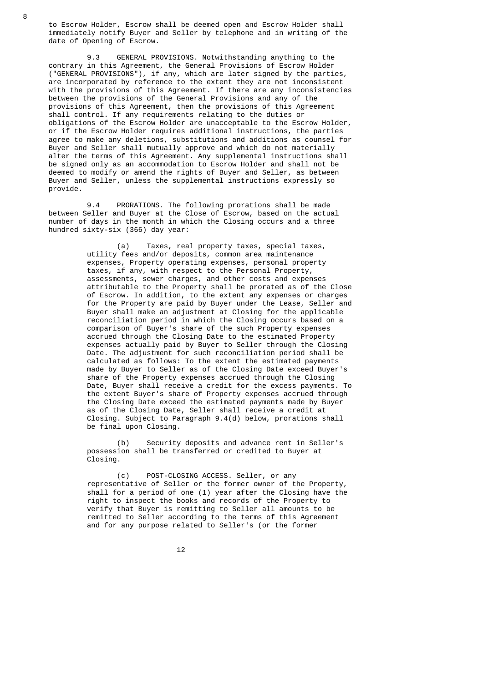to Escrow Holder, Escrow shall be deemed open and Escrow Holder shall immediately notify Buyer and Seller by telephone and in writing of the date of Opening of Escrow.

 9.3 GENERAL PROVISIONS. Notwithstanding anything to the contrary in this Agreement, the General Provisions of Escrow Holder ("GENERAL PROVISIONS"), if any, which are later signed by the parties, are incorporated by reference to the extent they are not inconsistent with the provisions of this Agreement. If there are any inconsistencies between the provisions of the General Provisions and any of the provisions of this Agreement, then the provisions of this Agreement shall control. If any requirements relating to the duties or obligations of the Escrow Holder are unacceptable to the Escrow Holder, or if the Escrow Holder requires additional instructions, the parties agree to make any deletions, substitutions and additions as counsel for Buyer and Seller shall mutually approve and which do not materially alter the terms of this Agreement. Any supplemental instructions shall be signed only as an accommodation to Escrow Holder and shall not be deemed to modify or amend the rights of Buyer and Seller, as between Buyer and Seller, unless the supplemental instructions expressly so provide.

 9.4 PRORATIONS. The following prorations shall be made between Seller and Buyer at the Close of Escrow, based on the actual number of days in the month in which the Closing occurs and a three hundred sixty-six (366) day year:

> (a) Taxes, real property taxes, special taxes, utility fees and/or deposits, common area maintenance expenses, Property operating expenses, personal property taxes, if any, with respect to the Personal Property, assessments, sewer charges, and other costs and expenses attributable to the Property shall be prorated as of the Close of Escrow. In addition, to the extent any expenses or charges for the Property are paid by Buyer under the Lease, Seller and Buyer shall make an adjustment at Closing for the applicable reconciliation period in which the Closing occurs based on a comparison of Buyer's share of the such Property expenses accrued through the Closing Date to the estimated Property expenses actually paid by Buyer to Seller through the Closing Date. The adjustment for such reconciliation period shall be calculated as follows: To the extent the estimated payments made by Buyer to Seller as of the Closing Date exceed Buyer's share of the Property expenses accrued through the Closing Date, Buyer shall receive a credit for the excess payments. To the extent Buyer's share of Property expenses accrued through the Closing Date exceed the estimated payments made by Buyer as of the Closing Date, Seller shall receive a credit at Closing. Subject to Paragraph 9.4(d) below, prorations shall be final upon Closing.

 (b) Security deposits and advance rent in Seller's possession shall be transferred or credited to Buyer at Closing.

 (c) POST-CLOSING ACCESS. Seller, or any representative of Seller or the former owner of the Property, shall for a period of one (1) year after the Closing have the right to inspect the books and records of the Property to verify that Buyer is remitting to Seller all amounts to be remitted to Seller according to the terms of this Agreement and for any purpose related to Seller's (or the former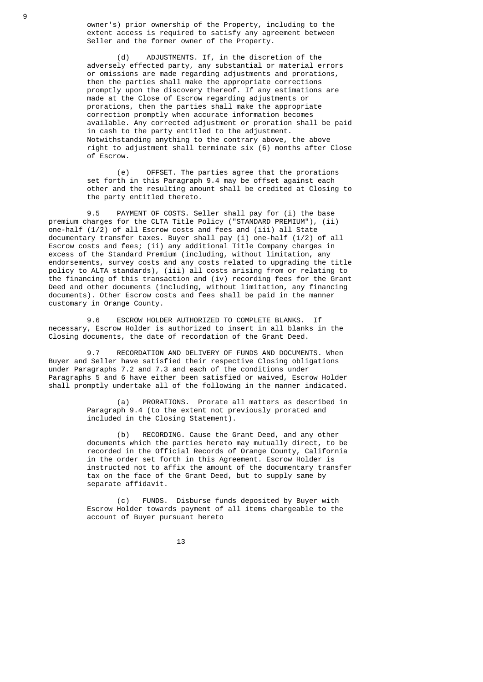owner's) prior ownership of the Property, including to the extent access is required to satisfy any agreement between Seller and the former owner of the Property.

 (d) ADJUSTMENTS. If, in the discretion of the adversely effected party, any substantial or material errors or omissions are made regarding adjustments and prorations, then the parties shall make the appropriate corrections promptly upon the discovery thereof. If any estimations are made at the Close of Escrow regarding adjustments or prorations, then the parties shall make the appropriate correction promptly when accurate information becomes available. Any corrected adjustment or proration shall be paid in cash to the party entitled to the adjustment. Notwithstanding anything to the contrary above, the above right to adjustment shall terminate six (6) months after Close of Escrow.

 (e) OFFSET. The parties agree that the prorations set forth in this Paragraph 9.4 may be offset against each other and the resulting amount shall be credited at Closing to the party entitled thereto.

 9.5 PAYMENT OF COSTS. Seller shall pay for (i) the base premium charges for the CLTA Title Policy ("STANDARD PREMIUM"), (ii) one-half (1/2) of all Escrow costs and fees and (iii) all State documentary transfer taxes. Buyer shall pay (i) one-half (1/2) of all Escrow costs and fees; (ii) any additional Title Company charges in excess of the Standard Premium (including, without limitation, any endorsements, survey costs and any costs related to upgrading the title policy to ALTA standards), (iii) all costs arising from or relating to the financing of this transaction and (iv) recording fees for the Grant Deed and other documents (including, without limitation, any financing documents). Other Escrow costs and fees shall be paid in the manner customary in Orange County.

> 9.6 ESCROW HOLDER AUTHORIZED TO COMPLETE BLANKS. If necessary, Escrow Holder is authorized to insert in all blanks in the Closing documents, the date of recordation of the Grant Deed.

 9.7 RECORDATION AND DELIVERY OF FUNDS AND DOCUMENTS. When Buyer and Seller have satisfied their respective Closing obligations under Paragraphs 7.2 and 7.3 and each of the conditions under Paragraphs 5 and 6 have either been satisfied or waived, Escrow Holder shall promptly undertake all of the following in the manner indicated.

> (a) PRORATIONS. Prorate all matters as described in Paragraph 9.4 (to the extent not previously prorated and included in the Closing Statement).

 (b) RECORDING. Cause the Grant Deed, and any other documents which the parties hereto may mutually direct, to be recorded in the Official Records of Orange County, California in the order set forth in this Agreement. Escrow Holder is instructed not to affix the amount of the documentary transfer tax on the face of the Grant Deed, but to supply same by separate affidavit.

 (c) FUNDS. Disburse funds deposited by Buyer with Escrow Holder towards payment of all items chargeable to the account of Buyer pursuant hereto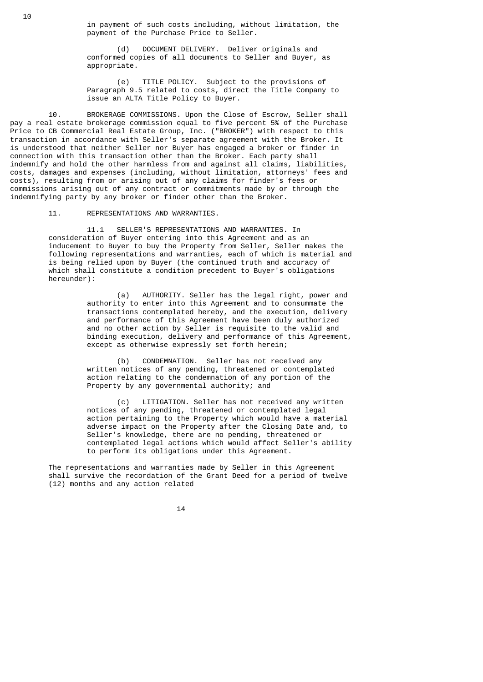in payment of such costs including, without limitation, the payment of the Purchase Price to Seller.

 (d) DOCUMENT DELIVERY. Deliver originals and conformed copies of all documents to Seller and Buyer, as appropriate.

 (e) TITLE POLICY. Subject to the provisions of Paragraph 9.5 related to costs, direct the Title Company to issue an ALTA Title Policy to Buyer.

 10. BROKERAGE COMMISSIONS. Upon the Close of Escrow, Seller shall pay a real estate brokerage commission equal to five percent 5% of the Purchase Price to CB Commercial Real Estate Group, Inc. ("BROKER") with respect to this transaction in accordance with Seller's separate agreement with the Broker. It is understood that neither Seller nor Buyer has engaged a broker or finder in connection with this transaction other than the Broker. Each party shall indemnify and hold the other harmless from and against all claims, liabilities, costs, damages and expenses (including, without limitation, attorneys' fees and costs), resulting from or arising out of any claims for finder's fees or commissions arising out of any contract or commitments made by or through the indemnifying party by any broker or finder other than the Broker.

11. REPRESENTATIONS AND WARRANTIES.

 11.1 SELLER'S REPRESENTATIONS AND WARRANTIES. In consideration of Buyer entering into this Agreement and as an inducement to Buyer to buy the Property from Seller, Seller makes the following representations and warranties, each of which is material and is being relied upon by Buyer (the continued truth and accuracy of which shall constitute a condition precedent to Buyer's obligations hereunder):

> (a) AUTHORITY. Seller has the legal right, power and authority to enter into this Agreement and to consummate the transactions contemplated hereby, and the execution, delivery and performance of this Agreement have been duly authorized and no other action by Seller is requisite to the valid and binding execution, delivery and performance of this Agreement, except as otherwise expressly set forth herein;

 (b) CONDEMNATION. Seller has not received any written notices of any pending, threatened or contemplated action relating to the condemnation of any portion of the Property by any governmental authority; and

 (c) LITIGATION. Seller has not received any written notices of any pending, threatened or contemplated legal action pertaining to the Property which would have a material adverse impact on the Property after the Closing Date and, to Seller's knowledge, there are no pending, threatened or contemplated legal actions which would affect Seller's ability to perform its obligations under this Agreement.

 The representations and warranties made by Seller in this Agreement shall survive the recordation of the Grant Deed for a period of twelve (12) months and any action related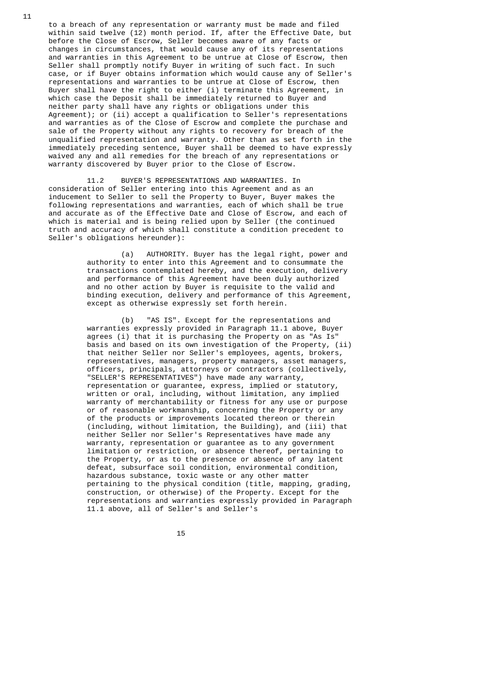to a breach of any representation or warranty must be made and filed within said twelve (12) month period. If, after the Effective Date, but before the Close of Escrow, Seller becomes aware of any facts or changes in circumstances, that would cause any of its representations and warranties in this Agreement to be untrue at Close of Escrow, then Seller shall promptly notify Buyer in writing of such fact. In such case, or if Buyer obtains information which would cause any of Seller's representations and warranties to be untrue at Close of Escrow, then Buyer shall have the right to either (i) terminate this Agreement, in which case the Deposit shall be immediately returned to Buyer and neither party shall have any rights or obligations under this Agreement); or (ii) accept a qualification to Seller's representations and warranties as of the Close of Escrow and complete the purchase and sale of the Property without any rights to recovery for breach of the unqualified representation and warranty. Other than as set forth in the immediately preceding sentence, Buyer shall be deemed to have expressly waived any and all remedies for the breach of any representations or warranty discovered by Buyer prior to the Close of Escrow.

 11.2 BUYER'S REPRESENTATIONS AND WARRANTIES. In consideration of Seller entering into this Agreement and as an inducement to Seller to sell the Property to Buyer, Buyer makes the following representations and warranties, each of which shall be true and accurate as of the Effective Date and Close of Escrow, and each of which is material and is being relied upon by Seller (the continued truth and accuracy of which shall constitute a condition precedent to Seller's obligations hereunder):

> (a) AUTHORITY. Buyer has the legal right, power and authority to enter into this Agreement and to consummate the transactions contemplated hereby, and the execution, delivery and performance of this Agreement have been duly authorized and no other action by Buyer is requisite to the valid and binding execution, delivery and performance of this Agreement, except as otherwise expressly set forth herein.

 (b) "AS IS". Except for the representations and warranties expressly provided in Paragraph 11.1 above, Buyer agrees (i) that it is purchasing the Property on as "As Is" basis and based on its own investigation of the Property, (ii) that neither Seller nor Seller's employees, agents, brokers, representatives, managers, property managers, asset managers, officers, principals, attorneys or contractors (collectively, "SELLER'S REPRESENTATIVES") have made any warranty, representation or guarantee, express, implied or statutory, written or oral, including, without limitation, any implied warranty of merchantability or fitness for any use or purpose or of reasonable workmanship, concerning the Property or any of the products or improvements located thereon or therein (including, without limitation, the Building), and (iii) that neither Seller nor Seller's Representatives have made any warranty, representation or guarantee as to any government limitation or restriction, or absence thereof, pertaining to the Property, or as to the presence or absence of any latent defeat, subsurface soil condition, environmental condition, hazardous substance, toxic waste or any other matter pertaining to the physical condition (title, mapping, grading, construction, or otherwise) of the Property. Except for the representations and warranties expressly provided in Paragraph 11.1 above, all of Seller's and Seller's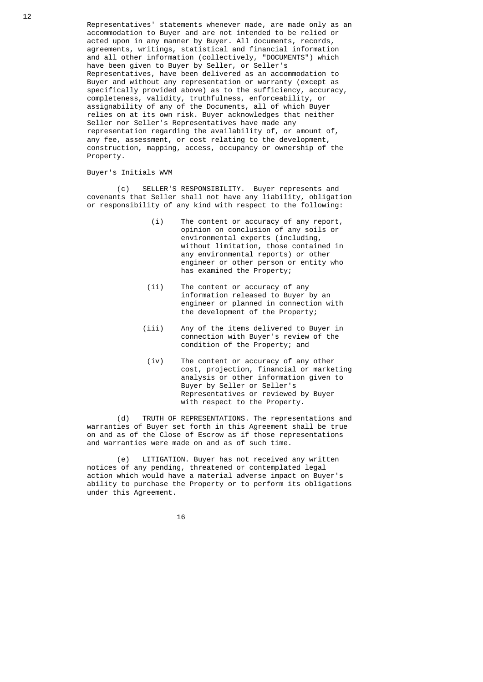Representatives' statements whenever made, are made only as an accommodation to Buyer and are not intended to be relied or acted upon in any manner by Buyer. All documents, records, agreements, writings, statistical and financial information and all other information (collectively, "DOCUMENTS") which have been given to Buyer by Seller, or Seller's Representatives, have been delivered as an accommodation to Buyer and without any representation or warranty (except as specifically provided above) as to the sufficiency, accuracy, completeness, validity, truthfulness, enforceability, or assignability of any of the Documents, all of which Buyer relies on at its own risk. Buyer acknowledges that neither Seller nor Seller's Representatives have made any representation regarding the availability of, or amount of, any fee, assessment, or cost relating to the development, construction, mapping, access, occupancy or ownership of the Property.

### Buyer's Initials WVM

 (c) SELLER'S RESPONSIBILITY. Buyer represents and covenants that Seller shall not have any liability, obligation or responsibility of any kind with respect to the following:

- (i) The content or accuracy of any report, opinion on conclusion of any soils or environmental experts (including, without limitation, those contained in any environmental reports) or other engineer or other person or entity who has examined the Property;
- (ii) The content or accuracy of any information released to Buyer by an engineer or planned in connection with the development of the Property;
- (iii) Any of the items delivered to Buyer in connection with Buyer's review of the condition of the Property; and
- (iv) The content or accuracy of any other cost, projection, financial or marketing analysis or other information given to Buyer by Seller or Seller's Representatives or reviewed by Buyer with respect to the Property.

 (d) TRUTH OF REPRESENTATIONS. The representations and warranties of Buyer set forth in this Agreement shall be true on and as of the Close of Escrow as if those representations and warranties were made on and as of such time.

 (e) LITIGATION. Buyer has not received any written notices of any pending, threatened or contemplated legal action which would have a material adverse impact on Buyer's ability to purchase the Property or to perform its obligations under this Agreement.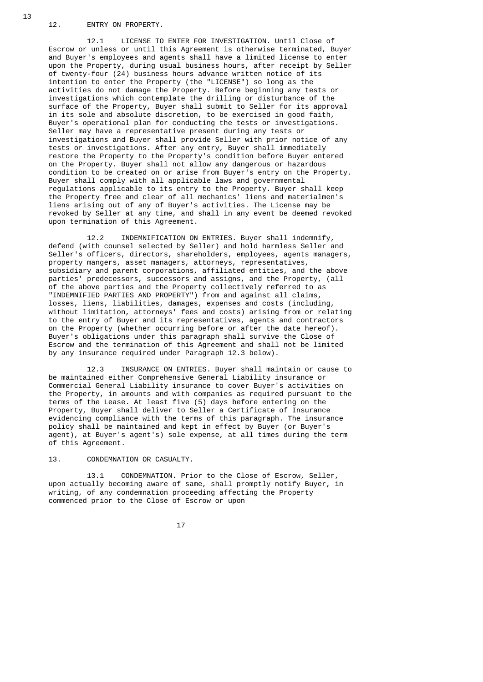12. ENTRY ON PROPERTY.

 12.1 LICENSE TO ENTER FOR INVESTIGATION. Until Close of Escrow or unless or until this Agreement is otherwise terminated, Buyer and Buyer's employees and agents shall have a limited license to enter upon the Property, during usual business hours, after receipt by Seller of twenty-four (24) business hours advance written notice of its intention to enter the Property (the "LICENSE") so long as the activities do not damage the Property. Before beginning any tests or investigations which contemplate the drilling or disturbance of the surface of the Property, Buyer shall submit to Seller for its approval in its sole and absolute discretion, to be exercised in good faith, Buyer's operational plan for conducting the tests or investigations. Seller may have a representative present during any tests or investigations and Buyer shall provide Seller with prior notice of any tests or investigations. After any entry, Buyer shall immediately restore the Property to the Property's condition before Buyer entered on the Property. Buyer shall not allow any dangerous or hazardous condition to be created on or arise from Buyer's entry on the Property. Buyer shall comply with all applicable laws and governmental regulations applicable to its entry to the Property. Buyer shall keep the Property free and clear of all mechanics' liens and materialmen's liens arising out of any of Buyer's activities. The License may be revoked by Seller at any time, and shall in any event be deemed revoked upon termination of this Agreement.

 12.2 INDEMNIFICATION ON ENTRIES. Buyer shall indemnify, defend (with counsel selected by Seller) and hold harmless Seller and Seller's officers, directors, shareholders, employees, agents managers, property mangers, asset managers, attorneys, representatives, subsidiary and parent corporations, affiliated entities, and the above parties' predecessors, successors and assigns, and the Property, (all of the above parties and the Property collectively referred to as "INDEMNIFIED PARTIES AND PROPERTY") from and against all claims, losses, liens, liabilities, damages, expenses and costs (including, without limitation, attorneys' fees and costs) arising from or relating to the entry of Buyer and its representatives, agents and contractors on the Property (whether occurring before or after the date hereof). Buyer's obligations under this paragraph shall survive the Close of Escrow and the termination of this Agreement and shall not be limited by any insurance required under Paragraph 12.3 below).

> 12.3 INSURANCE ON ENTRIES. Buyer shall maintain or cause to be maintained either Comprehensive General Liability insurance or Commercial General Liability insurance to cover Buyer's activities on the Property, in amounts and with companies as required pursuant to the terms of the Lease. At least five (5) days before entering on the Property, Buyer shall deliver to Seller a Certificate of Insurance evidencing compliance with the terms of this paragraph. The insurance policy shall be maintained and kept in effect by Buyer (or Buyer's agent), at Buyer's agent's) sole expense, at all times during the term of this Agreement.

13. CONDEMNATION OR CASUALTY.

 13.1 CONDEMNATION. Prior to the Close of Escrow, Seller, upon actually becoming aware of same, shall promptly notify Buyer, in writing, of any condemnation proceeding affecting the Property commenced prior to the Close of Escrow or upon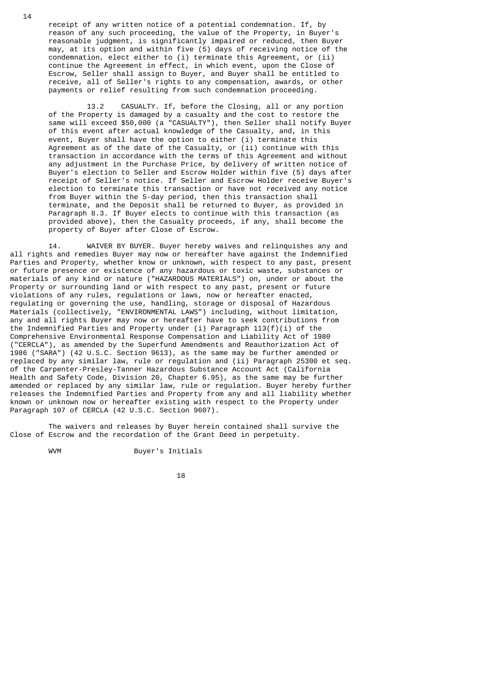receipt of any written notice of a potential condemnation. If, by reason of any such proceeding, the value of the Property, in Buyer's reasonable judgment, is significantly impaired or reduced, then Buyer may, at its option and within five (5) days of receiving notice of the condemnation, elect either to (i) terminate this Agreement, or (ii) continue the Agreement in effect, in which event, upon the Close of Escrow, Seller shall assign to Buyer, and Buyer shall be entitled to receive, all of Seller's rights to any compensation, awards, or other payments or relief resulting from such condemnation proceeding.

 13.2 CASUALTY. If, before the Closing, all or any portion of the Property is damaged by a casualty and the cost to restore the same will exceed \$50,000 (a "CASUALTY"), then Seller shall notify Buyer of this event after actual knowledge of the Casualty, and, in this event, Buyer shall have the option to either (i) terminate this Agreement as of the date of the Casualty, or (ii) continue with this transaction in accordance with the terms of this Agreement and without any adjustment in the Purchase Price, by delivery of written notice of Buyer's election to Seller and Escrow Holder within five (5) days after receipt of Seller's notice. If Seller and Escrow Holder receive Buyer's election to terminate this transaction or have not received any notice from Buyer within the 5-day period, then this transaction shall terminate, and the Deposit shall be returned to Buyer, as provided in Paragraph 8.3. If Buyer elects to continue with this transaction (as provided above), then the Casualty proceeds, if any, shall become the property of Buyer after Close of Escrow.

 14. WAIVER BY BUYER. Buyer hereby waives and relinquishes any and all rights and remedies Buyer may now or hereafter have against the Indemnified Parties and Property, whether know or unknown, with respect to any past, present or future presence or existence of any hazardous or toxic waste, substances or materials of any kind or nature ("HAZARDOUS MATERIALS") on, under or about the Property or surrounding land or with respect to any past, present or future violations of any rules, regulations or laws, now or hereafter enacted, regulating or governing the use, handling, storage or disposal of Hazardous Materials (collectively, "ENVIRONMENTAL LAWS") including, without limitation, any and all rights Buyer may now or hereafter have to seek contributions from the Indemnified Parties and Property under (i) Paragraph 113(f)(i) of the Comprehensive Environmental Response Compensation and Liability Act of 1980 ("CERCLA"), as amended by the Superfund Amendments and Reauthorization Act of 1986 ("SARA") (42 U.S.C. Section 9613), as the same may be further amended or replaced by any similar law, rule or regulation and (ii) Paragraph 25300 et seq. of the Carpenter-Presley-Tanner Hazardous Substance Account Act (California Health and Safety Code, Division 20, Chapter 6.95), as the same may be further amended or replaced by any similar law, rule or regulation. Buyer hereby further releases the Indemnified Parties and Property from any and all liability whether known or unknown now or hereafter existing with respect to the Property under Paragraph 107 of CERCLA (42 U.S.C. Section 9607).

 The waivers and releases by Buyer herein contained shall survive the Close of Escrow and the recordation of the Grant Deed in perpetuity.

WVM Buyer's Initials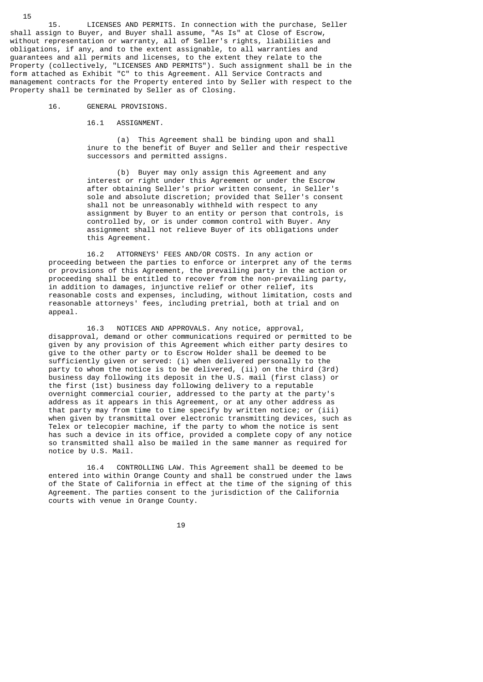15. LICENSES AND PERMITS. In connection with the purchase, Seller shall assign to Buyer, and Buyer shall assume, "As Is" at Close of Escrow, without representation or warranty, all of Seller's rights, liabilities and obligations, if any, and to the extent assignable, to all warranties and guarantees and all permits and licenses, to the extent they relate to the Property (collectively, "LICENSES AND PERMITS"). Such assignment shall be in the form attached as Exhibit "C" to this Agreement. All Service Contracts and management contracts for the Property entered into by Seller with respect to the Property shall be terminated by Seller as of Closing.

16. GENERAL PROVISIONS.

#### 16.1 ASSIGNMENT.

 (a) This Agreement shall be binding upon and shall inure to the benefit of Buyer and Seller and their respective successors and permitted assigns.

 (b) Buyer may only assign this Agreement and any interest or right under this Agreement or under the Escrow after obtaining Seller's prior written consent, in Seller's sole and absolute discretion; provided that Seller's consent shall not be unreasonably withheld with respect to any assignment by Buyer to an entity or person that controls, is controlled by, or is under common control with Buyer. Any assignment shall not relieve Buyer of its obligations under this Agreement.

 16.2 ATTORNEYS' FEES AND/OR COSTS. In any action or proceeding between the parties to enforce or interpret any of the terms or provisions of this Agreement, the prevailing party in the action or proceeding shall be entitled to recover from the non-prevailing party, in addition to damages, injunctive relief or other relief, its reasonable costs and expenses, including, without limitation, costs and reasonable attorneys' fees, including pretrial, both at trial and on appeal.

 16.3 NOTICES AND APPROVALS. Any notice, approval, disapproval, demand or other communications required or permitted to be given by any provision of this Agreement which either party desires to give to the other party or to Escrow Holder shall be deemed to be sufficiently given or served: (i) when delivered personally to the party to whom the notice is to be delivered, (ii) on the third (3rd) business day following its deposit in the U.S. mail (first class) or the first (1st) business day following delivery to a reputable overnight commercial courier, addressed to the party at the party's address as it appears in this Agreement, or at any other address as that party may from time to time specify by written notice; or (iii) when given by transmittal over electronic transmitting devices, such as Telex or telecopier machine, if the party to whom the notice is sent has such a device in its office, provided a complete copy of any notice so transmitted shall also be mailed in the same manner as required for notice by U.S. Mail.

> 16.4 CONTROLLING LAW. This Agreement shall be deemed to be entered into within Orange County and shall be construed under the laws of the State of California in effect at the time of the signing of this Agreement. The parties consent to the jurisdiction of the California courts with venue in Orange County.

 $19$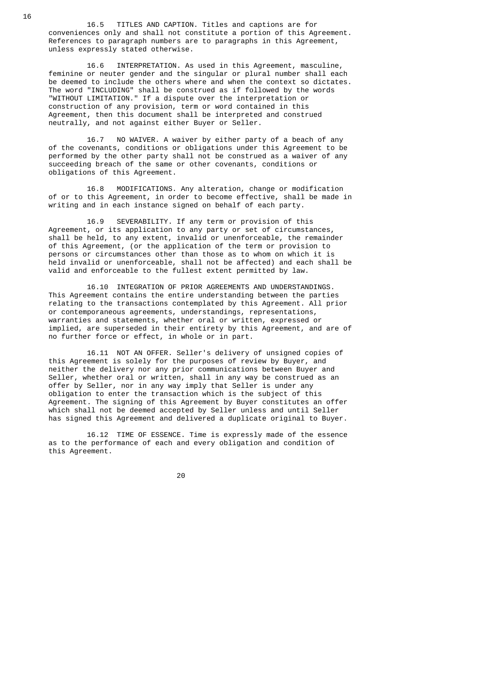16.5 TITLES AND CAPTION. Titles and captions are for conveniences only and shall not constitute a portion of this Agreement. References to paragraph numbers are to paragraphs in this Agreement, unless expressly stated otherwise.

 16.6 INTERPRETATION. As used in this Agreement, masculine, feminine or neuter gender and the singular or plural number shall each be deemed to include the others where and when the context so dictates. The word "INCLUDING" shall be construed as if followed by the words "WITHOUT LIMITATION." If a dispute over the interpretation or construction of any provision, term or word contained in this Agreement, then this document shall be interpreted and construed neutrally, and not against either Buyer or Seller.

> 16.7 NO WAIVER. A waiver by either party of a beach of any of the covenants, conditions or obligations under this Agreement to be performed by the other party shall not be construed as a waiver of any succeeding breach of the same or other covenants, conditions or obligations of this Agreement.

 16.8 MODIFICATIONS. Any alteration, change or modification of or to this Agreement, in order to become effective, shall be made in writing and in each instance signed on behalf of each party.

 16.9 SEVERABILITY. If any term or provision of this Agreement, or its application to any party or set of circumstances, shall be held, to any extent, invalid or unenforceable, the remainder of this Agreement, (or the application of the term or provision to persons or circumstances other than those as to whom on which it is held invalid or unenforceable, shall not be affected) and each shall be valid and enforceable to the fullest extent permitted by law.

 16.10 INTEGRATION OF PRIOR AGREEMENTS AND UNDERSTANDINGS. This Agreement contains the entire understanding between the parties relating to the transactions contemplated by this Agreement. All prior or contemporaneous agreements, understandings, representations, warranties and statements, whether oral or written, expressed or implied, are superseded in their entirety by this Agreement, and are of no further force or effect, in whole or in part.

 16.11 NOT AN OFFER. Seller's delivery of unsigned copies of this Agreement is solely for the purposes of review by Buyer, and neither the delivery nor any prior communications between Buyer and Seller, whether oral or written, shall in any way be construed as an offer by Seller, nor in any way imply that Seller is under any obligation to enter the transaction which is the subject of this Agreement. The signing of this Agreement by Buyer constitutes an offer which shall not be deemed accepted by Seller unless and until Seller has signed this Agreement and delivered a duplicate original to Buyer.

 16.12 TIME OF ESSENCE. Time is expressly made of the essence as to the performance of each and every obligation and condition of this Agreement.

е процесси продължава в селото на 1920 година в 1920 година в 1920 година в 1920 година в 1920 година в 1920 г<br>В 1920 година в 1920 година в 1920 година в 1920 година в 1920 година в 1920 година в 1920 година в 1920 годин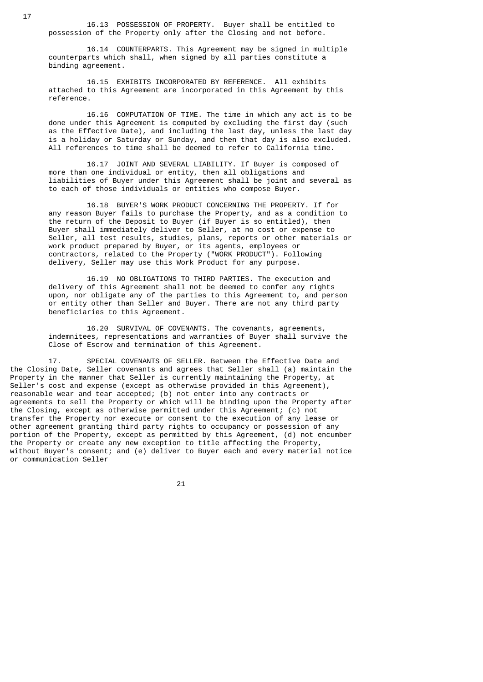16.13 POSSESSION OF PROPERTY. Buyer shall be entitled to possession of the Property only after the Closing and not before.

 16.14 COUNTERPARTS. This Agreement may be signed in multiple counterparts which shall, when signed by all parties constitute a binding agreement.

 16.15 EXHIBITS INCORPORATED BY REFERENCE. All exhibits attached to this Agreement are incorporated in this Agreement by this reference.

 16.16 COMPUTATION OF TIME. The time in which any act is to be done under this Agreement is computed by excluding the first day (such as the Effective Date), and including the last day, unless the last day is a holiday or Saturday or Sunday, and then that day is also excluded. All references to time shall be deemed to refer to California time.

 16.17 JOINT AND SEVERAL LIABILITY. If Buyer is composed of more than one individual or entity, then all obligations and liabilities of Buyer under this Agreement shall be joint and several as to each of those individuals or entities who compose Buyer.

 16.18 BUYER'S WORK PRODUCT CONCERNING THE PROPERTY. If for any reason Buyer fails to purchase the Property, and as a condition to the return of the Deposit to Buyer (if Buyer is so entitled), then Buyer shall immediately deliver to Seller, at no cost or expense to Seller, all test results, studies, plans, reports or other materials or work product prepared by Buyer, or its agents, employees or contractors, related to the Property ("WORK PRODUCT"). Following delivery, Seller may use this Work Product for any purpose.

> 16.19 NO OBLIGATIONS TO THIRD PARTIES. The execution and delivery of this Agreement shall not be deemed to confer any rights upon, nor obligate any of the parties to this Agreement to, and person or entity other than Seller and Buyer. There are not any third party beneficiaries to this Agreement.

> 16.20 SURVIVAL OF COVENANTS. The covenants, agreements, indemnitees, representations and warranties of Buyer shall survive the Close of Escrow and termination of this Agreement.

 17. SPECIAL COVENANTS OF SELLER. Between the Effective Date and the Closing Date, Seller covenants and agrees that Seller shall (a) maintain the Property in the manner that Seller is currently maintaining the Property, at Seller's cost and expense (except as otherwise provided in this Agreement), reasonable wear and tear accepted; (b) not enter into any contracts or agreements to sell the Property or which will be binding upon the Property after the Closing, except as otherwise permitted under this Agreement; (c) not transfer the Property nor execute or consent to the execution of any lease or other agreement granting third party rights to occupancy or possession of any portion of the Property, except as permitted by this Agreement, (d) not encumber the Property or create any new exception to title affecting the Property, without Buyer's consent; and (e) deliver to Buyer each and every material notice or communication Seller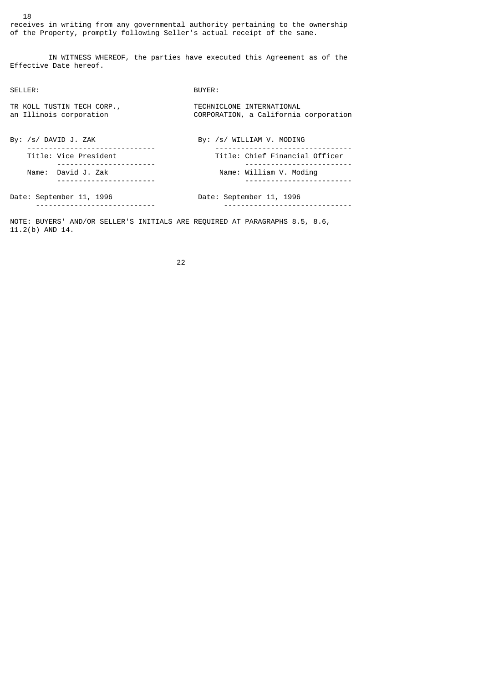receives in writing from any governmental authority pertaining to the ownership of the Property, promptly following Seller's actual receipt of the same.

 IN WITNESS WHEREOF, the parties have executed this Agreement as of the Effective Date hereof.

SELLER: BUYER:

| TR KOLL TUSTIN TECH CORP.,<br>an Illinois corporation | TECHNICLONE INTERNATIONAL<br>CORPORATION, a California corporation |
|-------------------------------------------------------|--------------------------------------------------------------------|
| By: /s/ DAVID J. ZAK                                  | By: /s/ WILLIAM V. MODING                                          |
| Title: Vice President                                 | Title: Chief Financial Officer                                     |
| Name: David J. Zak                                    | Name: William V. Moding                                            |
| Date: September 11, 1996                              | Date: September 11, 1996                                           |

NOTE: BUYERS' AND/OR SELLER'S INITIALS ARE REQUIRED AT PARAGRAPHS 8.5, 8.6, 11.2(b) AND 14.

<u>22 and 23 and 23 and 23 and 23 and 23 and 23 and 23 and 23 and 23 and 23 and 23 and 23 and 23 and 23 and 23 a</u>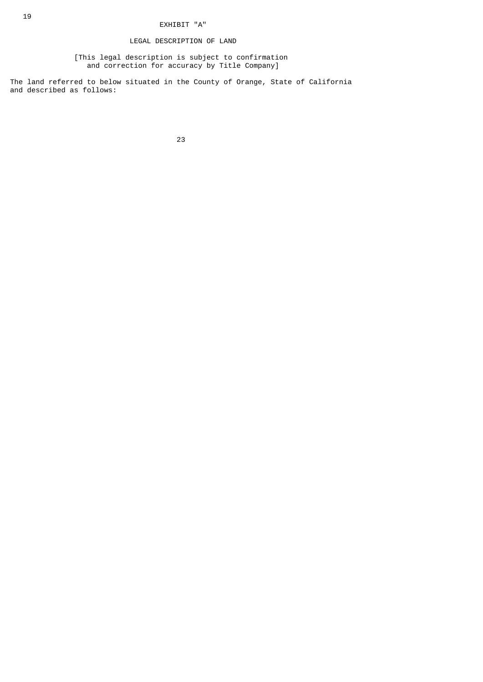### LEGAL DESCRIPTION OF LAND

 [This legal description is subject to confirmation and correction for accuracy by Title Company]

The land referred to below situated in the County of Orange, State of California and described as follows:

<u>23 and 23 and 23 and 23 and 23 and 23 and 23 and 23 and 23 and 23 and 23 and 23 and 23 and 23 and 23 and 23 and 23 and 23 and 23 and 23 and 23 and 23 and 23 and 23 and 23 and 23 and 23 and 23 and 23 and 23 and 23 and 23 a</u>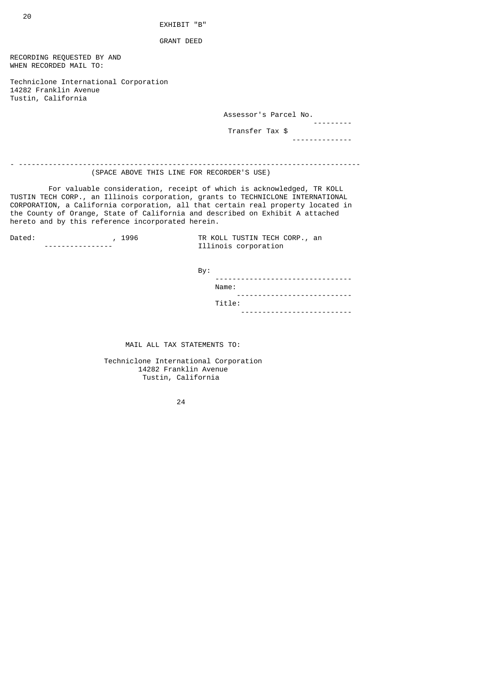EXHIBIT "B"

GRANT DEED

RECORDING REQUESTED BY AND WHEN RECORDED MAIL TO:

Techniclone International Corporation 14282 Franklin Avenue Tustin, California

Assessor's Parcel No.

 --------- Transfer Tax \$

--------------

- -------------------------------------------------------------------------------- (SPACE ABOVE THIS LINE FOR RECORDER'S USE)

 For valuable consideration, receipt of which is acknowledged, TR KOLL TUSTIN TECH CORP., an Illinois corporation, grants to TECHNICLONE INTERNATIONAL CORPORATION, a California corporation, all that certain real property located in the County of Orange, State of California and described on Exhibit A attached hereto and by this reference incorporated herein.

| Dated: |  | 19 |
|--------|--|----|
|        |  |    |

Dated: , 1996 TR KOLL TUSTIN TECH CORP., an and the contract of the set of the set of the set of the set of th<br>Tilinois corporation Illinois corporation

By:

| ------------------------------<br>. |
|-------------------------------------|
| Name:                               |
| ----------------------------        |
| Title:                              |
| -------------------<br>- - -        |

MAIL ALL TAX STATEMENTS TO:

 Techniclone International Corporation 14282 Franklin Avenue Tustin, California

<u>24</u>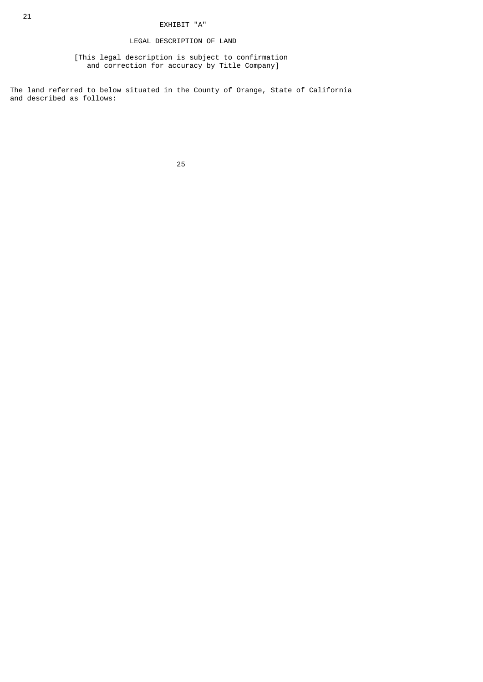## LEGAL DESCRIPTION OF LAND

 [This legal description is subject to confirmation and correction for accuracy by Title Company]

The land referred to below situated in the County of Orange, State of California and described as follows:

<u>25 and 25 and 26 and 26 and 26 and 26 and 26 and 26 and 26 and 26 and 26 and 26 and 26 and 26 and 26 and 26 and 26 and 26 and 26 and 26 and 26 and 26 and 26 and 26 and 26 and 27 and 27 and 27 and 27 and 27 and 27 and 27 a</u>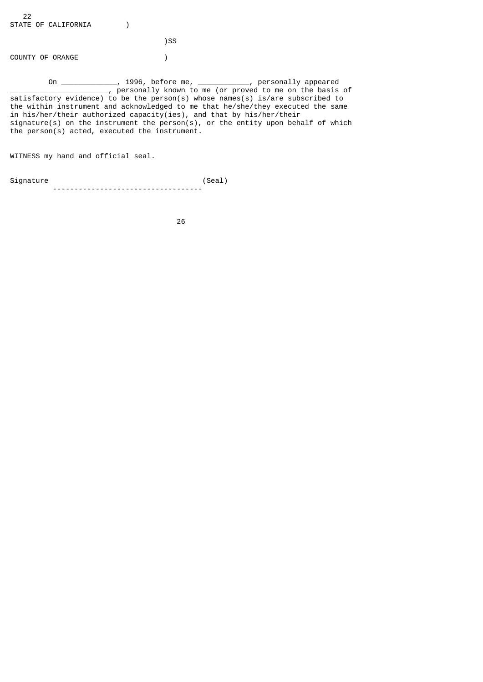)SS

COUNTY OF ORANGE (1)

 On \_\_\_\_\_\_\_\_\_\_\_\_\_, 1996, before me, \_\_\_\_\_\_\_\_\_\_\_\_, personally appeared \_\_\_\_\_\_\_\_\_\_\_\_\_\_\_\_\_\_\_\_\_\_\_\_\_\_, personally known to me (or proved to me on the basis of satisfactory evidence) to be the person(s) whose names(s) is/are subscribed to the within instrument and acknowledged to me that he/she/they executed the same in his/her/their authorized capacity(ies), and that by his/her/their signature(s) on the instrument the person(s), or the entity upon behalf of which the person(s) acted, executed the instrument.

WITNESS my hand and official seal.

Signature (Seal) -----------------------------------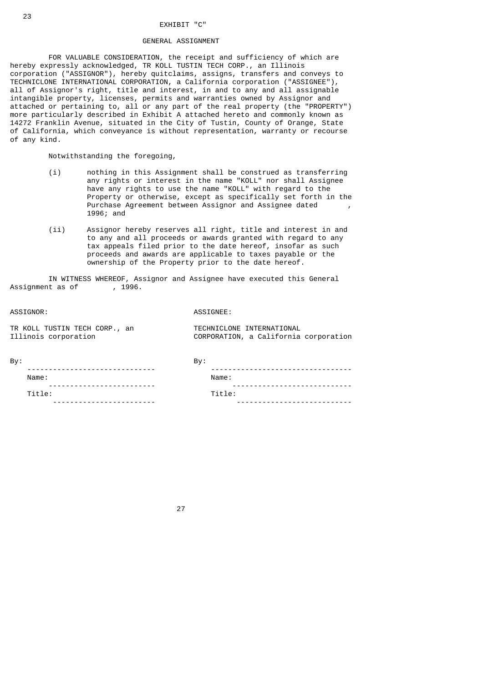#### EXHIBIT "C"

### GENERAL ASSIGNMENT

 FOR VALUABLE CONSIDERATION, the receipt and sufficiency of which are hereby expressly acknowledged, TR KOLL TUSTIN TECH CORP., an Illinois corporation ("ASSIGNOR"), hereby quitclaims, assigns, transfers and conveys to TECHNICLONE INTERNATIONAL CORPORATION, a California corporation ("ASSIGNEE"), all of Assignor's right, title and interest, in and to any and all assignable intangible property, licenses, permits and warranties owned by Assignor and attached or pertaining to, all or any part of the real property (the "PROPERTY") more particularly described in Exhibit A attached hereto and commonly known as 14272 Franklin Avenue, situated in the City of Tustin, County of Orange, State of California, which conveyance is without representation, warranty or recourse of any kind.

Notwithstanding the foregoing,

- (i) nothing in this Assignment shall be construed as transferring any rights or interest in the name "KOLL" nor shall Assignee have any rights to use the name "KOLL" with regard to the Property or otherwise, except as specifically set forth in the Purchase Agreement between Assignor and Assignee dated 1996; and
- (ii) Assignor hereby reserves all right, title and interest in and to any and all proceeds or awards granted with regard to any tax appeals filed prior to the date hereof, insofar as such proceeds and awards are applicable to taxes payable or the ownership of the Property prior to the date hereof.

 IN WITNESS WHEREOF, Assignor and Assignee have executed this General Assignment as of

ASSIGNOR: ASSIGNEE:

TR KOLL TUSTIN TECH CORP., an TECHNICLONE INTERNATIONAL<br>Illinois corporation CORPORATION, a California

CORPORATION, a California corporation

| I |  |
|---|--|

| By: |                                      | Bv:                       |
|-----|--------------------------------------|---------------------------|
|     | -------------<br>Name:               | Name:                     |
|     | --------------------------<br>Title: | --------<br>- -<br>Title: |
|     | $ \cdot$                             |                           |

<u>27 and 27</u>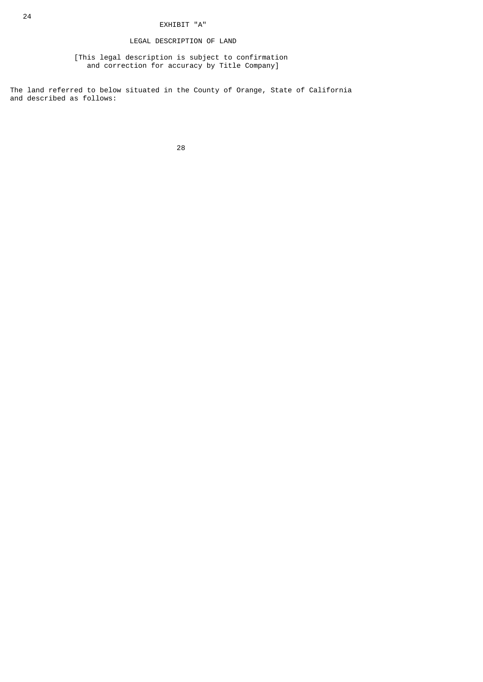## LEGAL DESCRIPTION OF LAND

 [This legal description is subject to confirmation and correction for accuracy by Title Company]

The land referred to below situated in the County of Orange, State of California and described as follows:

e a construction de la construction de la construction de la construction de la construction de la constructio<br>28 de juny 1930, la construction de la construction de la construction de la construction de la construction d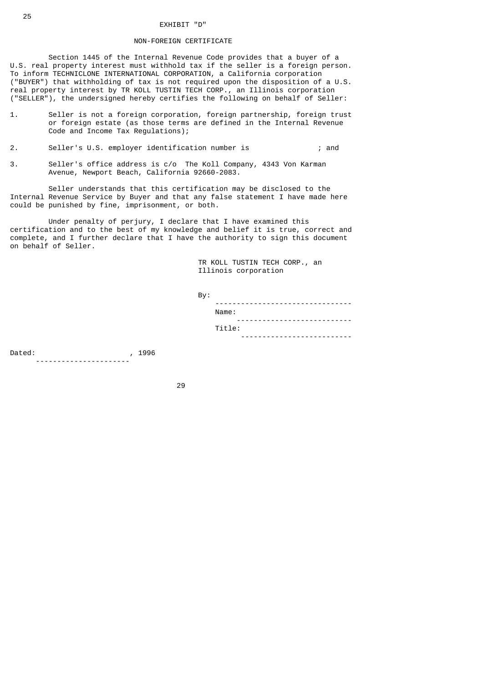# EXHIBIT "D"

### NON-FOREIGN CERTIFICATE

 Section 1445 of the Internal Revenue Code provides that a buyer of a U.S. real property interest must withhold tax if the seller is a foreign person. To inform TECHNICLONE INTERNATIONAL CORPORATION, a California corporation ("BUYER") that withholding of tax is not required upon the disposition of a U.S. real property interest by TR KOLL TUSTIN TECH CORP., an Illinois corporation ("SELLER"), the undersigned hereby certifies the following on behalf of Seller:

- 1. Seller is not a foreign corporation, foreign partnership, foreign trust or foreign estate (as those terms are defined in the Internal Revenue Code and Income Tax Regulations);
- 2. Seller's U.S. employer identification number is ; and
- 3. Seller's office address is c/o The Koll Company, 4343 Von Karman Avenue, Newport Beach, California 92660-2083.

 Seller understands that this certification may be disclosed to the Internal Revenue Service by Buyer and that any false statement I have made here could be punished by fine, imprisonment, or both.

 Under penalty of perjury, I declare that I have examined this certification and to the best of my knowledge and belief it is true, correct and complete, and I further declare that I have the authority to sign this document on behalf of Seller.

> TR KOLL TUSTIN TECH CORP., an Illinois corporation

| By:                      |
|--------------------------|
| - -                      |
| Name:                    |
| $\overline{\phantom{a}}$ |
| Title:                   |
| $ -$                     |

Dated: , 1996 ----------------------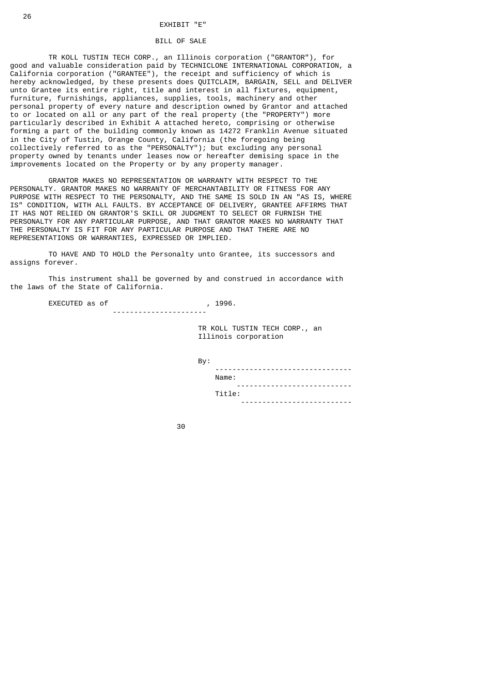### BILL OF SALE

 TR KOLL TUSTIN TECH CORP., an Illinois corporation ("GRANTOR"), for good and valuable consideration paid by TECHNICLONE INTERNATIONAL CORPORATION, a California corporation ("GRANTEE"), the receipt and sufficiency of which is hereby acknowledged, by these presents does QUITCLAIM, BARGAIN, SELL and DELIVER unto Grantee its entire right, title and interest in all fixtures, equipment, furniture, furnishings, appliances, supplies, tools, machinery and other personal property of every nature and description owned by Grantor and attached to or located on all or any part of the real property (the "PROPERTY") more particularly described in Exhibit A attached hereto, comprising or otherwise forming a part of the building commonly known as 14272 Franklin Avenue situated in the City of Tustin, Orange County, California (the foregoing being collectively referred to as the "PERSONALTY"); but excluding any personal property owned by tenants under leases now or hereafter demising space in the improvements located on the Property or by any property manager.

 GRANTOR MAKES NO REPRESENTATION OR WARRANTY WITH RESPECT TO THE PERSONALTY. GRANTOR MAKES NO WARRANTY OF MERCHANTABILITY OR FITNESS FOR ANY PURPOSE WITH RESPECT TO THE PERSONALTY, AND THE SAME IS SOLD IN AN "AS IS, WHERE IS" CONDITION, WITH ALL FAULTS. BY ACCEPTANCE OF DELIVERY, GRANTEE AFFIRMS THAT IT HAS NOT RELIED ON GRANTOR'S SKILL OR JUDGMENT TO SELECT OR FURNISH THE PERSONALTY FOR ANY PARTICULAR PURPOSE, AND THAT GRANTOR MAKES NO WARRANTY THAT THE PERSONALTY IS FIT FOR ANY PARTICULAR PURPOSE AND THAT THERE ARE NO REPRESENTATIONS OR WARRANTIES, EXPRESSED OR IMPLIED.

 TO HAVE AND TO HOLD the Personalty unto Grantee, its successors and assigns forever.

 This instrument shall be governed by and construed in accordance with the laws of the State of California.

EXECUTED as of , 1996.

----------------------

 TR KOLL TUSTIN TECH CORP., an Illinois corporation

By:

| ---------<br>- -                 |
|----------------------------------|
| Name.                            |
| -----------------------<br>$  -$ |
| Title:                           |
| $- - -$<br>.                     |

30 and 20 and 20 and 20 and 20 and 20 and 20 and 20 and 20 and 20 and 20 and 20 and 20 and 20 and 20 and 20 an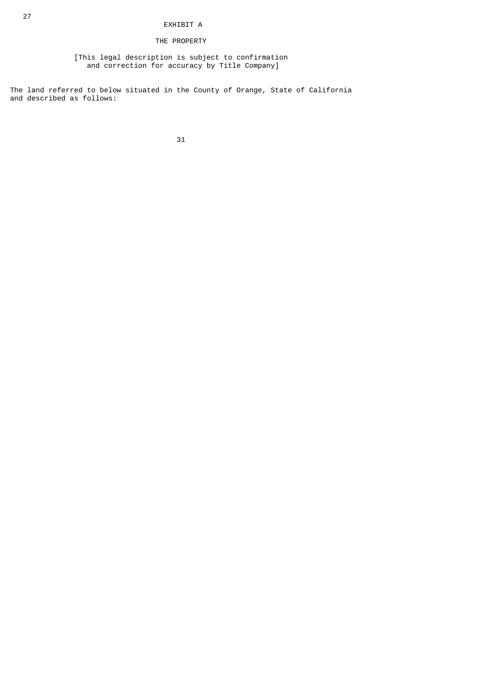# EXHIBIT A

# THE PROPERTY

 [This legal description is subject to confirmation and correction for accuracy by Title Company]

The land referred to below situated in the County of Orange, State of California and described as follows: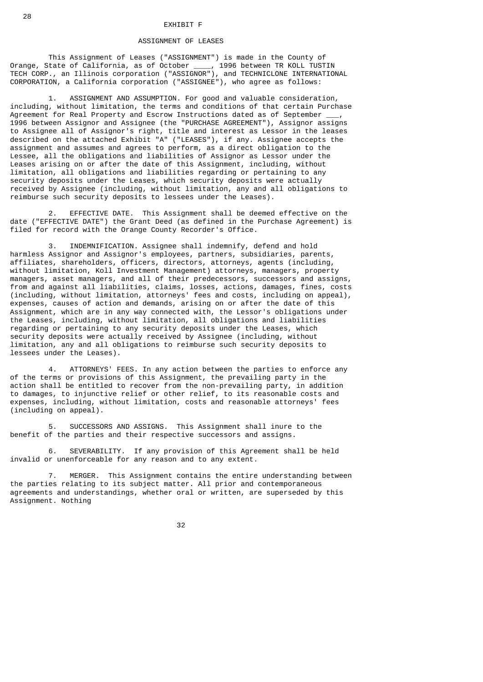### ASSIGNMENT OF LEASES

 This Assignment of Leases ("ASSIGNMENT") is made in the County of Orange, State of California, as of October \_\_\_\_, 1996 between TR KOLL TUSTIN TECH CORP., an Illinois corporation ("ASSIGNOR"), and TECHNICLONE INTERNATIONAL CORPORATION, a California corporation ("ASSIGNEE"), who agree as follows:

 1. ASSIGNMENT AND ASSUMPTION. For good and valuable consideration, including, without limitation, the terms and conditions of that certain Purchase Agreement for Real Property and Escrow Instructions dated as of September \_ 1996 between Assignor and Assignee (the "PURCHASE AGREEMENT"), Assignor assigns to Assignee all of Assignor's right, title and interest as Lessor in the leases described on the attached Exhibit "A" ("LEASES"), if any. Assignee accepts the assignment and assumes and agrees to perform, as a direct obligation to the Lessee, all the obligations and liabilities of Assignor as Lessor under the Leases arising on or after the date of this Assignment, including, without limitation, all obligations and liabilities regarding or pertaining to any security deposits under the Leases, which security deposits were actually received by Assignee (including, without limitation, any and all obligations to reimburse such security deposits to lessees under the Leases).

 2. EFFECTIVE DATE. This Assignment shall be deemed effective on the date ("EFFECTIVE DATE") the Grant Deed (as defined in the Purchase Agreement) is filed for record with the Orange County Recorder's Office.

 3. INDEMNIFICATION. Assignee shall indemnify, defend and hold harmless Assignor and Assignor's employees, partners, subsidiaries, parents, affiliates, shareholders, officers, directors, attorneys, agents (including, without limitation, Koll Investment Management) attorneys, managers, property managers, asset managers, and all of their predecessors, successors and assigns, from and against all liabilities, claims, losses, actions, damages, fines, costs (including, without limitation, attorneys' fees and costs, including on appeal), expenses, causes of action and demands, arising on or after the date of this Assignment, which are in any way connected with, the Lessor's obligations under the Leases, including, without limitation, all obligations and liabilities regarding or pertaining to any security deposits under the Leases, which security deposits were actually received by Assignee (including, without limitation, any and all obligations to reimburse such security deposits to lessees under the Leases).

 4. ATTORNEYS' FEES. In any action between the parties to enforce any of the terms or provisions of this Assignment, the prevailing party in the action shall be entitled to recover from the non-prevailing party, in addition to damages, to injunctive relief or other relief, to its reasonable costs and expenses, including, without limitation, costs and reasonable attorneys' fees (including on appeal).

 5. SUCCESSORS AND ASSIGNS. This Assignment shall inure to the benefit of the parties and their respective successors and assigns.

 6. SEVERABILITY. If any provision of this Agreement shall be held invalid or unenforceable for any reason and to any extent.

 7. MERGER. This Assignment contains the entire understanding between the parties relating to its subject matter. All prior and contemporaneous agreements and understandings, whether oral or written, are superseded by this Assignment. Nothing